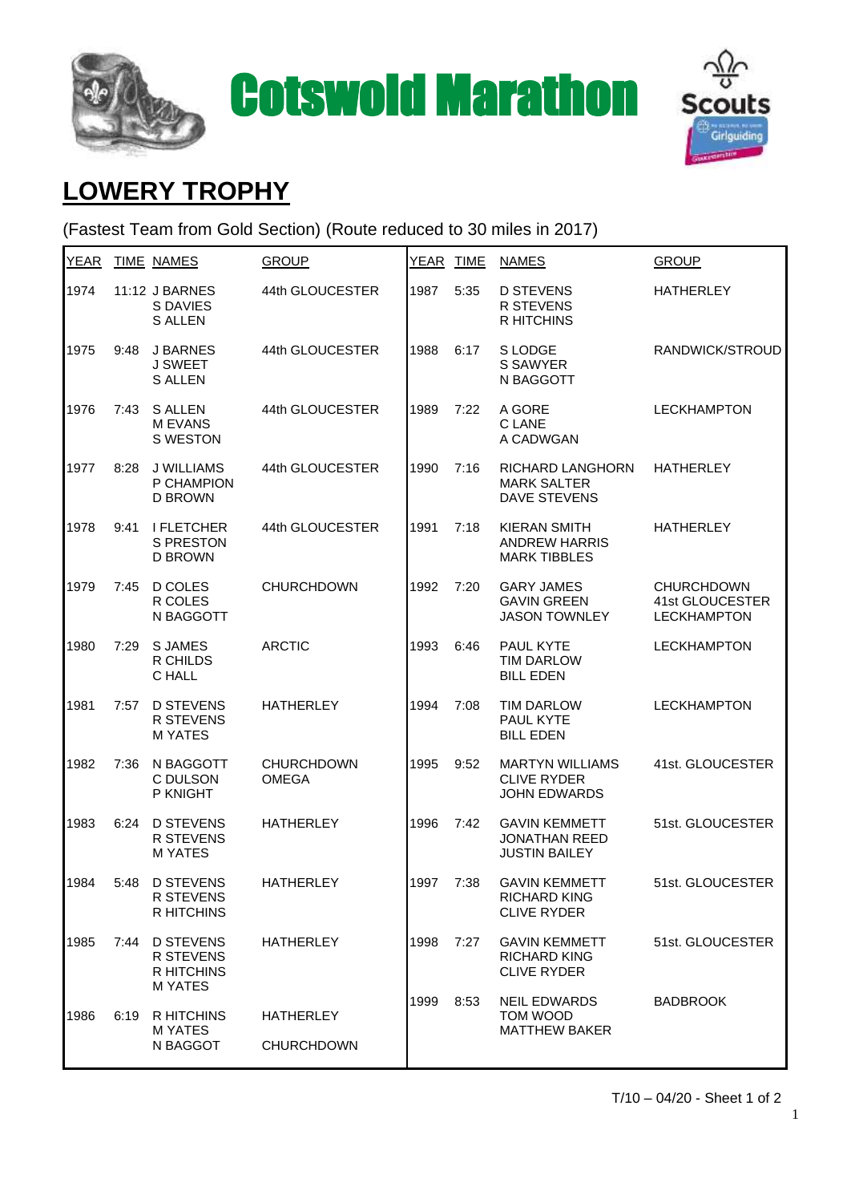





## **LOWERY TROPHY**

(Fastest Team from Gold Section) (Route reduced to 30 miles in 2017)

| <b>YEAR</b> |      | TIME NAMES                                                          | <b>GROUP</b>                          |      | YEAR TIME | <b>NAMES</b>                                                         | <b>GROUP</b>                                               |
|-------------|------|---------------------------------------------------------------------|---------------------------------------|------|-----------|----------------------------------------------------------------------|------------------------------------------------------------|
| 1974        |      | 11:12 J BARNES<br>S DAVIES<br><b>S ALLEN</b>                        | 44th GLOUCESTER                       | 1987 | 5:35      | <b>D STEVENS</b><br><b>R STEVENS</b><br><b>R HITCHINS</b>            | <b>HATHERLEY</b>                                           |
| 1975        | 9:48 | J BARNES<br><b>J SWEET</b><br><b>S ALLEN</b>                        | 44th GLOUCESTER                       | 1988 | 6:17      | S LODGE<br>S SAWYER<br>N BAGGOTT                                     | RANDWICK/STROUD                                            |
| 1976        | 7:43 | <b>S ALLEN</b><br><b>MEVANS</b><br>S WESTON                         | 44th GLOUCESTER                       | 1989 | 7:22      | A GORE<br>C LANE<br>A CADWGAN                                        | <b>LECKHAMPTON</b>                                         |
| 1977        | 8:28 | J WILLIAMS<br>P CHAMPION<br><b>D BROWN</b>                          | 44th GLOUCESTER                       | 1990 | 7:16      | RICHARD LANGHORN<br><b>MARK SALTER</b><br><b>DAVE STEVENS</b>        | <b>HATHERLEY</b>                                           |
| 1978        | 9:41 | <b>I FLETCHER</b><br><b>S PRESTON</b><br><b>D BROWN</b>             | 44th GLOUCESTER                       | 1991 | 7:18      | <b>KIERAN SMITH</b><br><b>ANDREW HARRIS</b><br><b>MARK TIBBLES</b>   | <b>HATHERLEY</b>                                           |
| 1979        | 7:45 | D COLES<br>R COLES<br>N BAGGOTT                                     | <b>CHURCHDOWN</b>                     | 1992 | 7:20      | <b>GARY JAMES</b><br><b>GAVIN GREEN</b><br><b>JASON TOWNLEY</b>      | <b>CHURCHDOWN</b><br>41st GLOUCESTER<br><b>LECKHAMPTON</b> |
| 1980        | 7:29 | <b>SJAMES</b><br>R CHILDS<br>C HALL                                 | <b>ARCTIC</b>                         | 1993 | 6:46      | PAUL KYTE<br><b>TIM DARLOW</b><br><b>BILL EDEN</b>                   | <b>LECKHAMPTON</b>                                         |
| 1981        | 7:57 | <b>D STEVENS</b><br><b>R STEVENS</b><br><b>M YATES</b>              | <b>HATHERLEY</b>                      | 1994 | 7:08      | TIM DARLOW<br>PAUL KYTE<br><b>BILL EDEN</b>                          | <b>LECKHAMPTON</b>                                         |
| 1982        | 7:36 | N BAGGOTT<br>C DULSON<br>P KNIGHT                                   | <b>CHURCHDOWN</b><br><b>OMEGA</b>     | 1995 | 9:52      | <b>MARTYN WILLIAMS</b><br><b>CLIVE RYDER</b><br><b>JOHN EDWARDS</b>  | 41st. GLOUCESTER                                           |
| 1983        | 6:24 | <b>D STEVENS</b><br><b>R STEVENS</b><br><b>MYATES</b>               | <b>HATHERLEY</b>                      | 1996 | 7:42      | <b>GAVIN KEMMETT</b><br><b>JONATHAN REED</b><br><b>JUSTIN BAILEY</b> | 51st. GLOUCESTER                                           |
| 1984        | 5:48 | <b>D STEVENS</b><br><b>R STEVENS</b><br><b>R HITCHINS</b>           | <b>HATHERLEY</b>                      | 1997 | 7:38      | <b>GAVIN KEMMETT</b><br><b>RICHARD KING</b><br><b>CLIVE RYDER</b>    | 51st. GLOUCESTER                                           |
| 1985        | 7:44 | <b>D STEVENS</b><br><b>R STEVENS</b><br>R HITCHINS<br><b>MYATES</b> | <b>HATHERLEY</b>                      | 1998 | 7:27      | <b>GAVIN KEMMETT</b><br><b>RICHARD KING</b><br><b>CLIVE RYDER</b>    | 51st. GLOUCESTER                                           |
| 1986        | 6:19 | <b>R HITCHINS</b><br>M YATES<br>N BAGGOT                            | <b>HATHERLEY</b><br><b>CHURCHDOWN</b> | 1999 | 8:53      | <b>NEIL EDWARDS</b><br><b>TOM WOOD</b><br><b>MATTHEW BAKER</b>       | <b>BADBROOK</b>                                            |